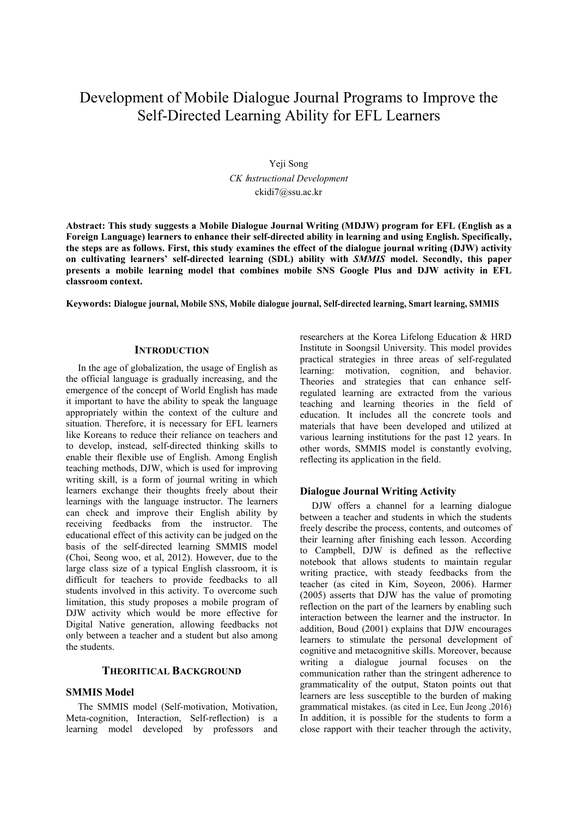# Development of Mobile Dialogue Journal Programs to Improve the Self-Directed Learning Ability for EFL Learners

Yeji Song *CK* I*nstructional Development*  ckidi7@ssu.ac.kr

**Abstract: This study suggests a Mobile Dialogue Journal Writing (MDJW) program for EFL (English as a Foreign Language) learners to enhance their self-directed ability in learning and using English. Specifically, the steps are as follows. First, this study examines the effect of the dialogue journal writing (DJW) activity on cultivating learners' self-directed learning (SDL) ability with** *SMMIS* **model. Secondly, this paper presents a mobile learning model that combines mobile SNS Google Plus and DJW activity in EFL classroom context.** 

**Keywords: Dialogue journal, Mobile SNS, Mobile dialogue journal, Self-directed learning, Smart learning, SMMIS** 

#### **INTRODUCTION**

In the age of globalization, the usage of English as the official language is gradually increasing, and the emergence of the concept of World English has made it important to have the ability to speak the language appropriately within the context of the culture and situation. Therefore, it is necessary for EFL learners like Koreans to reduce their reliance on teachers and to develop, instead, self-directed thinking skills to enable their flexible use of English. Among English teaching methods, DJW, which is used for improving writing skill, is a form of journal writing in which learners exchange their thoughts freely about their learnings with the language instructor. The learners can check and improve their English ability by receiving feedbacks from the instructor. The educational effect of this activity can be judged on the basis of the self-directed learning SMMIS model (Choi, Seong woo, et al, 2012). However, due to the large class size of a typical English classroom, it is difficult for teachers to provide feedbacks to all students involved in this activity. To overcome such limitation, this study proposes a mobile program of DJW activity which would be more effective for Digital Native generation, allowing feedbacks not only between a teacher and a student but also among the students.

# **THEORITICAL BACKGROUND**

#### **SMMIS Model**

The SMMIS model (Self-motivation, Motivation, Meta-cognition, Interaction, Self-reflection) is a learning model developed by professors and

researchers at the Korea Lifelong Education & HRD Institute in Soongsil University. This model provides practical strategies in three areas of self-regulated learning: motivation, cognition, and behavior. Theories and strategies that can enhance selfregulated learning are extracted from the various teaching and learning theories in the field of education. It includes all the concrete tools and materials that have been developed and utilized at various learning institutions for the past 12 years. In other words, SMMIS model is constantly evolving, reflecting its application in the field.

#### **Dialogue Journal Writing Activity**

DJW offers a channel for a learning dialogue between a teacher and students in which the students freely describe the process, contents, and outcomes of their learning after finishing each lesson. According to Campbell, DJW is defined as the reflective notebook that allows students to maintain regular writing practice, with steady feedbacks from the teacher (as cited in Kim, Soyeon, 2006). Harmer (2005) asserts that DJW has the value of promoting reflection on the part of the learners by enabling such interaction between the learner and the instructor. In addition, Boud (2001) explains that DJW encourages learners to stimulate the personal development of cognitive and metacognitive skills. Moreover, because writing a dialogue journal focuses on the communication rather than the stringent adherence to grammaticality of the output, Staton points out that learners are less susceptible to the burden of making grammatical mistakes. (as cited in Lee, Eun Jeong ,2016) In addition, it is possible for the students to form a close rapport with their teacher through the activity,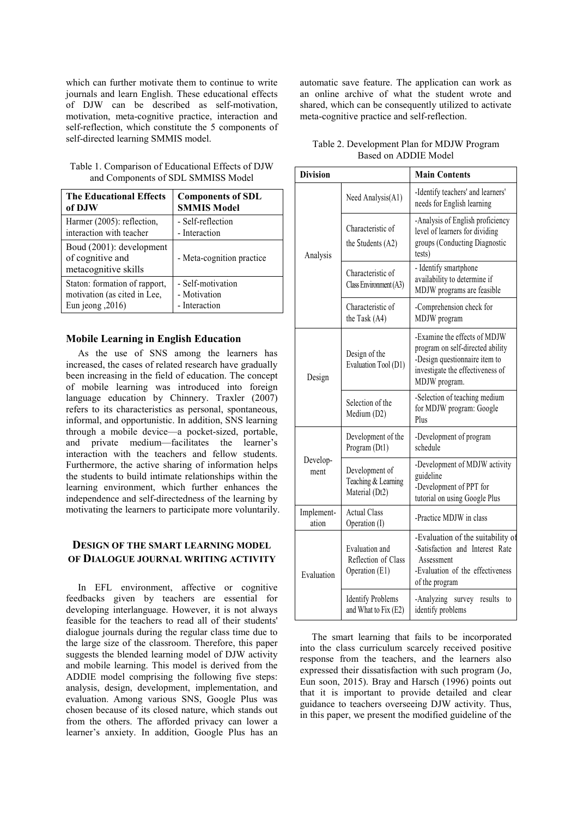which can further motivate them to continue to write journals and learn English. These educational effects of DJW can be described as self-motivation, motivation, meta-cognitive practice, interaction and self-reflection, which constitute the 5 components of self-directed learning SMMIS model.

| Table 1. Comparison of Educational Effects of DJW |
|---------------------------------------------------|
| and Components of SDL SMMISS Model                |

| <b>The Educational Effects</b>                                       | <b>Components of SDL</b>  |
|----------------------------------------------------------------------|---------------------------|
| of DJW                                                               | <b>SMMIS Model</b>        |
| Harmer (2005): reflection,                                           | - Self-reflection         |
| interaction with teacher                                             | - Interaction             |
| Boud (2001): development<br>of cognitive and<br>metacognitive skills | - Meta-cognition practice |
| Staton: formation of rapport,                                        | - Self-motivation         |
| motivation (as cited in Lee,                                         | - Motivation              |
| Eun jeong $,2016)$                                                   | - Interaction             |

## **Mobile Learning in English Education**

As the use of SNS among the learners has increased, the cases of related research have gradually been increasing in the field of education. The concept of mobile learning was introduced into foreign language education by Chinnery. Traxler (2007) refers to its characteristics as personal, spontaneous, informal, and opportunistic. In addition, SNS learning through a mobile device—a pocket-sized, portable, and private medium—facilitates the learner's interaction with the teachers and fellow students. Furthermore, the active sharing of information helps the students to build intimate relationships within the learning environment, which further enhances the independence and self-directedness of the learning by motivating the learners to participate more voluntarily.

# **DESIGN OF THE SMART LEARNING MODEL OF DIALOGUE JOURNAL WRITING ACTIVITY**

In EFL environment, affective or cognitive feedbacks given by teachers are essential for developing interlanguage. However, it is not always feasible for the teachers to read all of their students' dialogue journals during the regular class time due to the large size of the classroom. Therefore, this paper suggests the blended learning model of DJW activity and mobile learning. This model is derived from the ADDIE model comprising the following five steps: analysis, design, development, implementation, and evaluation. Among various SNS, Google Plus was chosen because of its closed nature, which stands out from the others. The afforded privacy can lower a learner's anxiety. In addition, Google Plus has an

automatic save feature. The application can work as an online archive of what the student wrote and shared, which can be consequently utilized to activate meta-cognitive practice and self-reflection.

| Table 2. Development Plan for MDJW Program |  |
|--------------------------------------------|--|
| Based on ADDIE Model                       |  |

| <b>Division</b>     |                                                         | <b>Main Contents</b>                                                                                                                                   |
|---------------------|---------------------------------------------------------|--------------------------------------------------------------------------------------------------------------------------------------------------------|
| Analysis            | Need Analysis(A1)                                       | -Identify teachers' and learners'<br>needs for English learning                                                                                        |
|                     | Characteristic of<br>the Students (A2)                  | -Analysis of English proficiency<br>level of learners for dividing<br>groups (Conducting Diagnostic<br>tests)                                          |
|                     | Characteristic of<br>Class Environment (A3)             | - Identify smartphone<br>availability to determine if<br>MDJW programs are feasible                                                                    |
|                     | Characteristic of<br>the Task (A4)                      | -Comprehension check for<br>MDJW program                                                                                                               |
| Design              | Design of the<br>Evaluation Tool (D1)                   | -Examine the effects of MDJW<br>program on self-directed ability<br>-Design questionnaire item to<br>investigate the effectiveness of<br>MDJW program. |
|                     | Selection of the<br>Medium (D2)                         | -Selection of teaching medium<br>for MDJW program: Google<br>Plus                                                                                      |
| Develop-<br>ment    | Development of the<br>Program (Dt1)                     | -Development of program<br>schedule                                                                                                                    |
|                     | Development of<br>Teaching & Learning<br>Material (Dt2) | -Development of MDJW activity<br>guideline<br>-Development of PPT for<br>tutorial on using Google Plus                                                 |
| Implement-<br>ation | <b>Actual Class</b><br>Operation (I)                    | -Practice MDJW in class                                                                                                                                |
| Evaluation          | Evaluation and<br>Reflection of Class<br>Operation (E1) | -Evaluation of the suitability of<br>-Satisfaction and Interest Rate<br>Assessment<br>-Evaluation of the effectiveness<br>of the program               |
|                     | <b>Identify Problems</b><br>and What to Fix (E2)        | -Analyzing survey<br>results<br>to<br>identify problems                                                                                                |

The smart learning that fails to be incorporated into the class curriculum scarcely received positive response from the teachers, and the learners also expressed their dissatisfaction with such program (Jo, Eun soon, 2015). Bray and Harsch (1996) points out that it is important to provide detailed and clear guidance to teachers overseeing DJW activity. Thus, in this paper, we present the modified guideline of the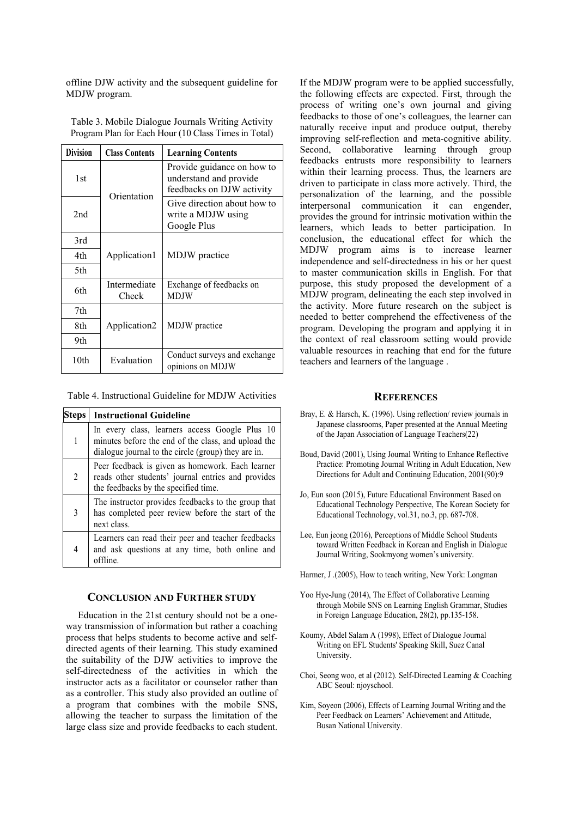offline DJW activity and the subsequent guideline for MDJW program.

| <b>Division</b> | <b>Class Contents</b> | <b>Learning Contents</b>                                                          |
|-----------------|-----------------------|-----------------------------------------------------------------------------------|
| 1st             | Orientation           | Provide guidance on how to<br>understand and provide<br>feedbacks on DJW activity |
| 2 <sub>nd</sub> |                       | Give direction about how to<br>write a MDJW using<br>Google Plus                  |
| 3rd             |                       |                                                                                   |
| 4th             | Application1          | MDJW practice                                                                     |
| 5th             |                       |                                                                                   |
| 6th             | Intermediate<br>Check | Exchange of feedbacks on<br>MDJW                                                  |
| 7th             |                       |                                                                                   |
| 8th             | Application2          | MDJW practice                                                                     |
| 9th             |                       |                                                                                   |
| 10th            | Evaluation            | Conduct surveys and exchange<br>opinions on MDJW                                  |

Table 3. Mobile Dialogue Journals Writing Activity Program Plan for Each Hour (10 Class Times in Total)

Table 4. Instructional Guideline for MDJW Activities

| Steps          | <b>Instructional Guideline</b>                                                                                                                               |
|----------------|--------------------------------------------------------------------------------------------------------------------------------------------------------------|
| 1              | In every class, learners access Google Plus 10<br>minutes before the end of the class, and upload the<br>dialogue journal to the circle (group) they are in. |
| $\overline{2}$ | Peer feedback is given as homework. Each learner<br>reads other students' journal entries and provides<br>the feedbacks by the specified time.               |
| 3              | The instructor provides feedbacks to the group that<br>has completed peer review before the start of the<br>next class.                                      |
| 4              | Learners can read their peer and teacher feedbacks<br>and ask questions at any time, both online and<br>offline.                                             |

### **CONCLUSION AND FURTHER STUDY**

Education in the 21st century should not be a oneway transmission of information but rather a coaching process that helps students to become active and selfdirected agents of their learning. This study examined the suitability of the DJW activities to improve the self-directedness of the activities in which the instructor acts as a facilitator or counselor rather than as a controller. This study also provided an outline of a program that combines with the mobile SNS, allowing the teacher to surpass the limitation of the large class size and provide feedbacks to each student.

If the MDJW program were to be applied successfully, the following effects are expected. First, through the process of writing one's own journal and giving feedbacks to those of one's colleagues, the learner can naturally receive input and produce output, thereby improving self-reflection and meta-cognitive ability. Second, collaborative learning through group feedbacks entrusts more responsibility to learners within their learning process. Thus, the learners are driven to participate in class more actively. Third, the personalization of the learning, and the possible interpersonal communication it can engender, provides the ground for intrinsic motivation within the learners, which leads to better participation. In conclusion, the educational effect for which the MDJW program aims is to increase learner independence and self-directedness in his or her quest to master communication skills in English. For that purpose, this study proposed the development of a MDJW program, delineating the each step involved in the activity. More future research on the subject is needed to better comprehend the effectiveness of the program. Developing the program and applying it in the context of real classroom setting would provide valuable resources in reaching that end for the future teachers and learners of the language .

#### **REFERENCES**

- Bray, E. & Harsch, K. (1996). Using reflection/ review journals in Japanese classrooms, Paper presented at the Annual Meeting of the Japan Association of Language Teachers(22)
- Boud, David (2001), Using Journal Writing to Enhance Reflective Practice: Promoting Journal Writing in Adult Education, New Directions for Adult and Continuing Education, 2001(90):9
- Jo, Eun soon (2015), Future Educational Environment Based on Educational Technology Perspective, The Korean Society for Educational Technology, vol.31, no.3, pp. 687-708.
- Lee, Eun jeong (2016), Perceptions of Middle School Students toward Written Feedback in Korean and English in Dialogue Journal Writing, Sookmyong women's university.
- Harmer, J .(2005), How to teach writing, New York: Longman
- Yoo Hye-Jung (2014), The Effect of Collaborative Learning through Mobile SNS on Learning English Grammar, Studies in Foreign Language Education, 28(2), pp.135-158.
- Koumy, Abdel Salam A (1998), Effect of Dialogue Journal Writing on EFL Students' Speaking Skill, Suez Canal University.
- Choi, Seong woo, et al (2012). Self-Directed Learning & Coaching ABC Seoul: njoyschool.
- Kim, Soyeon (2006), Effects of Learning Journal Writing and the Peer Feedback on Learners' Achievement and Attitude, Busan National University.